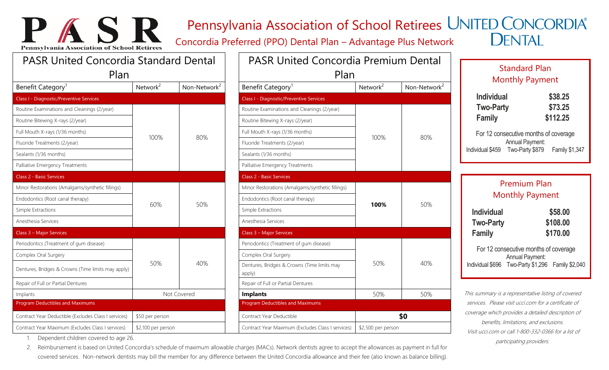## Pennsylvania Association of School Retirees UNITED CONCORDIA®

Concordia Preferred (PPO) Dental Plan – Advantage Plus Network

**DENTAL** 

Standard Plan

## **Pennsylvania Association of School Retired** PASR United Concordia Standard Dental Plan Benefit Category<sup>1</sup>  $Network<sup>2</sup>$  Non-Network<sup>2</sup> Class I - Diagnostic/Preventive Services Routine Examinations and Cleanings (2/year) Routine Bitewing X-rays (2/year) Full Mouth X-rays (1/36 months) 100% 80% Fluoride Treatments (2/year) Sealants (1/36 months) Palliative Emergency Treatments Class 2 - Basic Services Minor Restorations (Amalgams/synthetic fillings) Endodontics (Root canal therapy) Endodontics (Root canal therapy) 60% 50% Simple Extractions Anesthesia Services Class 3 – Major Services Periodontics (Treatment of gum disease) Complex Oral Surgery 50% 40% Dentures, Bridges & Crowns (Time limits may apply) Repair of Full or Partial Dentures Implants **Implants 1.1 Implants** 1.1 Implants 1.1 Implants 1.1 Implants 1.1 Implants 1.1 Implants 1.1 Implants 1.1 Implants 1.1 Implants 1.1 Implants 1.1 Implants 1.1 Implants 1.1 Implants 1.1 Implants 1.1 Implants 1.1 Imp Program Deductibles and Maximums Contract Year Deductible (Excludes Class I services) \$50 per person Contract Year Maximum (Excludes Class I services) \$2,100 per person

PASR

| <b>PASR United Concordia Premium Dental</b>           |                      |                          |  |
|-------------------------------------------------------|----------------------|--------------------------|--|
| Plan<br>Benefit Category <sup>1</sup>                 | Network <sup>2</sup> | Non-Network <sup>2</sup> |  |
| Class I - Diagnostic/Preventive Services              |                      |                          |  |
| Routine Examinations and Cleanings (2/year)           |                      |                          |  |
| Routine Bitewing X-rays (2/year)                      |                      |                          |  |
| Full Mouth X-rays (1/36 months)                       |                      | 80%                      |  |
| Fluoride Treatments (2/year)                          | 100%                 |                          |  |
| Sealants (1/36 months)                                |                      |                          |  |
| Palliative Emergency Treatments                       |                      |                          |  |
| <b>Class 2 - Basic Services</b>                       |                      |                          |  |
| Minor Restorations (Amalgams/synthetic fillings)      |                      |                          |  |
| Endodontics (Root canal therapy)                      |                      | 50%                      |  |
| Simple Extractions                                    | 100%                 |                          |  |
| Anesthesia Services                                   |                      |                          |  |
| Class 3 - Major Services                              |                      |                          |  |
| Periodontics (Treatment of gum disease)               |                      |                          |  |
| Complex Oral Surgery                                  |                      |                          |  |
| Dentures, Bridges & Crowns (Time limits may<br>apply) | 50%                  | 40%                      |  |
| Repair of Full or Partial Dentures                    |                      |                          |  |
| <b>Implants</b>                                       | 50%                  | 50%                      |  |
| <b>Program Deductibles and Maximums</b>               |                      |                          |  |
| Contract Year Deductible                              |                      | \$0                      |  |
| Contract Year Maximum (Excludes Class I services)     | \$2,500 per person   |                          |  |

|                                                        | Jianuaru Tiani<br><b>Monthly Payment</b>                                                                             |                                 |
|--------------------------------------------------------|----------------------------------------------------------------------------------------------------------------------|---------------------------------|
| <b>Individual</b><br><b>Two-Party</b><br>Family        |                                                                                                                      | \$38.25<br>\$73.25<br>\$112.25  |
|                                                        | For 12 consecutive months of coverage<br><b>Annual Payment:</b><br>Individual \$459 Two-Party \$879 Family \$1,347   |                                 |
|                                                        | <b>Premium Plan</b><br><b>Monthly Payment</b>                                                                        |                                 |
| <b>Individual</b><br><b>Two-Party</b><br><b>Family</b> |                                                                                                                      | \$58.00<br>\$108.00<br>\$170.00 |
|                                                        | For 12 consecutive months of coverage<br><b>Annual Payment:</b><br>Individual \$696 Two-Party \$1,296 Family \$2,040 |                                 |
|                                                        | This summany is a representative listing of covered                                                                  |                                 |

This summary is a representative listing of covered services. Please visit ucci.com for a certificate of coverage which provides a detailed description of benefits, limitations, and exclusions. Visit ucci.com or call 1-800-332-0366 for a list of participating providers.

1. Dependent children covered to age 26.

2. Reimbursement is based on United Concordia's schedule of maximum allowable charges (MACs). Network dentists agree to accept the allowances as payment in full for covered services. Non-network dentists may bill the member for any difference between the United Concordia allowance and their fee (also known as balance billing).